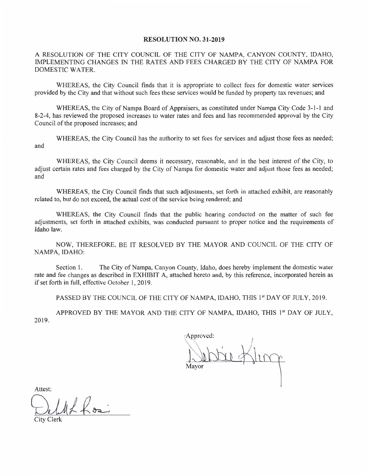## **RESOLUTION NO. 31-2019**

A RESOLUTION OF THE CITY COUNCIL OF THE CITY OF NAMPA, CANYON COUNTY, IDAHO, IMPLEMENTING CHANGES IN THE RATES AND FEES CHARGED BY THE CITY OF NAMPA FOR DOMESTIC WATER.

WHEREAS, the City Council finds that it is appropriate to collect fees for domestic water services provided by the City and that without such fees these services would be funded by property tax revenues; and

WHEREAS, the City of Nampa Board of Appraisers, as constituted under Nampa City Code 3-1-1 and 8-2-4, has reviewed the proposed increases to water rates and fees and has recommended approval by the City Council of the proposed increases; and

WHEREAS, the City Council has the authority to set fees for services and adjust those fees as needed; and

WHEREAS, the City Council deems it necessary, reasonable, and in the best interest of the City, to adjust certain rates and fees charged by the City of Nampa for domestic water and adjust those fees as needed; and

WHEREAS, the City Council finds that such adjustments, set forth in attached exhibit, are reasonably related to, but do not exceed, the actual cost of the service being rendered; and

WHEREAS, the City Council finds that the public hearing conducted on the matter of such fee adjustments, set forth in attached exhibits, was conducted pursuant to proper notice and the requirements of Idaho law.

NOW, THEREFORE, BE IT RESOLVED BY THE MAYOR AND COUNCIL OF THE CITY OF NAMPA, IDAHO:

Section 1. The City of Nampa, Canyon County, Idaho, does hereby implement the domestic water rate and fee changes as described in EXHIBIT A, attached hereto and, by this reference, incorporated herein as if set forth in full, effective October 1, 2019.

PASSED BY THE COUNCIL OF THE CITY OF NAMPA, IDAHO, THIS 1st DAY OF JULY, 2019.

APPROVED BY THE MAYOR AND THE CITY OF NAMPA, IDAHO, THIS 1st DAY OF JULY, 2019.

Approved: Mavor

Attest: